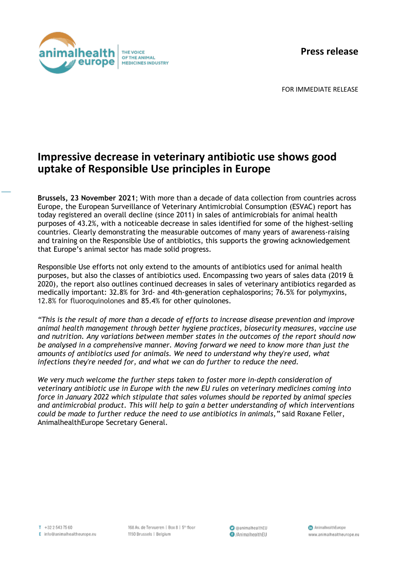**Press release**



FOR IMMEDIATE RELEASE

## **Impressive decrease in veterinary antibiotic use shows good uptake of Responsible Use principles in Europe**

**Brussels, 23 November 2021**; With more than a decade of data collection from countries across Europe, the European Surveillance of Veterinary Antimicrobial Consumption (ESVAC) report has today registered an overall decline (since 2011) in sales of antimicrobials for animal health purposes of 43.2%, with a noticeable decrease in sales identified for some of the highest-selling countries. Clearly demonstrating the measurable outcomes of many years of awareness-raising and training on the Responsible Use of antibiotics, this supports the growing acknowledgement that Europe's animal sector has made solid progress.

Responsible Use efforts not only extend to the amounts of antibiotics used for animal health purposes, but also the classes of antibiotics used. Encompassing two years of sales data (2019 & 2020), the report also outlines continued decreases in sales of veterinary antibiotics regarded as medically important: 32.8% for 3rd- and 4th-generation cephalosporins; 76.5% for polymyxins, 12.8% for fluoroquinolones and 85.4% for other quinolones.

*"This is the result of more than a decade of efforts to increase disease prevention and improve animal health management through better hygiene practices, biosecurity measures, vaccine use and nutrition. Any variations between member states in the outcomes of the report should now be analysed in a comprehensive manner. Moving forward we need to know more than just the amounts of antibiotics used for animals. We need to understand why they're used, what infections they're needed for, and what we can do further to reduce the need.*

*We very much welcome the further steps taken to foster more in-depth consideration of veterinary antibiotic use in Europe with the new EU rules on veterinary medicines coming into force in January 2022 which stipulate that sales volumes should be reported by animal species and antimicrobial product. This will help to gain a better understanding of which interventions could be made to further reduce the need to use antibiotics in animals,"* said Roxane Feller, AnimalhealthEurope Secretary General.